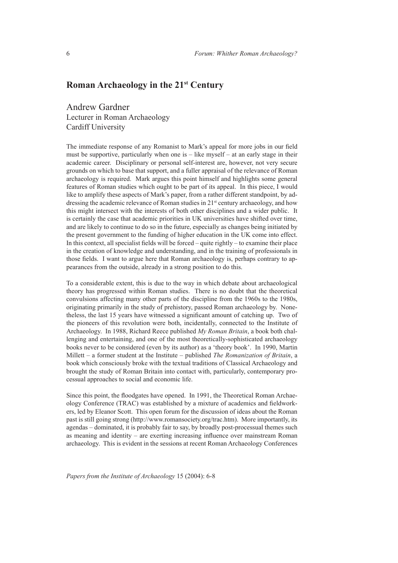## **Roman Archaeology in the 21st Century**

Andrew Gardner Lecturer in Roman Archaeology Cardiff University

The immediate response of any Romanist to Mark's appeal for more jobs in our field must be supportive, particularly when one is – like myself – at an early stage in their academic career. Disciplinary or personal self-interest are, however, not very secure grounds on which to base that support, and a fuller appraisal of the relevance of Roman archaeology is required. Mark argues this point himself and highlights some general features of Roman studies which ought to be part of its appeal. In this piece, I would like to amplify these aspects of Mark's paper, from a rather different standpoint, by addressing the academic relevance of Roman studies in 21<sup>st</sup> century archaeology, and how this might intersect with the interests of both other disciplines and a wider public. It is certainly the case that academic priorities in UK universities have shifted over time, and are likely to continue to do so in the future, especially as changes being initiated by the present government to the funding of higher education in the UK come into effect. In this context, all specialist fields will be forced – quite rightly – to examine their place in the creation of knowledge and understanding, and in the training of professionals in those fields. I want to argue here that Roman archaeology is, perhaps contrary to appearances from the outside, already in a strong position to do this.

To a considerable extent, this is due to the way in which debate about archaeological theory has progressed within Roman studies. There is no doubt that the theoretical convulsions affecting many other parts of the discipline from the 1960s to the 1980s, originating primarily in the study of prehistory, passed Roman archaeology by. Nonetheless, the last 15 years have witnessed a significant amount of catching up. Two of the pioneers of this revolution were both, incidentally, connected to the Institute of Archaeology. In 1988, Richard Reece published *My Roman Britain*, a book both challenging and entertaining, and one of the most theoretically-sophisticated archaeology books never to be considered (even by its author) as a 'theory book'. In 1990, Martin Millett – a former student at the Institute – published *The Romanization of Britain*, a book which consciously broke with the textual traditions of Classical Archaeology and brought the study of Roman Britain into contact with, particularly, contemporary processual approaches to social and economic life.

Since this point, the floodgates have opened. In 1991, the Theoretical Roman Archaeology Conference (TRAC) was established by a mixture of academics and fieldworkers, led by Eleanor Scott. This open forum for the discussion of ideas about the Roman past is still going strong (http://www.romansociety.org/trac.htm). More importantly, its agendas – dominated, it is probably fair to say, by broadly post-processual themes such as meaning and identity – are exerting increasing influence over mainstream Roman archaeology. This is evident in the sessions at recent Roman Archaeology Conferences

*Papers from the Institute of Archaeology* 15 (2004): 6-8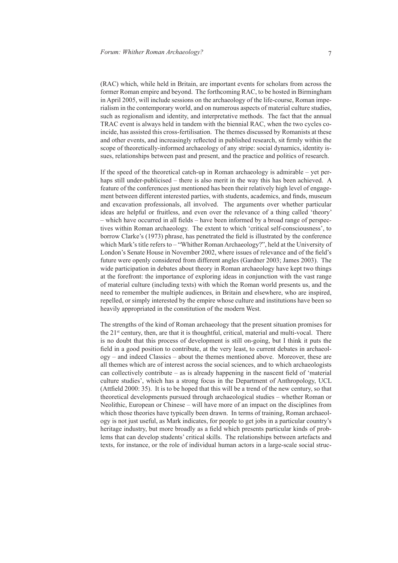(RAC) which, while held in Britain, are important events for scholars from across the former Roman empire and beyond. The forthcoming RAC, to be hosted in Birmingham in April 2005, will include sessions on the archaeology of the life-course, Roman imperialism in the contemporary world, and on numerous aspects of material culture studies, such as regionalism and identity, and interpretative methods. The fact that the annual TRAC event is always held in tandem with the biennial RAC, when the two cycles coincide, has assisted this cross-fertilisation. The themes discussed by Romanists at these and other events, and increasingly reflected in published research, sit firmly within the scope of theoretically-informed archaeology of any stripe: social dynamics, identity issues, relationships between past and present, and the practice and politics of research.

If the speed of the theoretical catch-up in Roman archaeology is admirable – yet perhaps still under-publicised – there is also merit in the way this has been achieved. A feature of the conferences just mentioned has been their relatively high level of engagement between different interested parties, with students, academics, and finds, museum and excavation professionals, all involved. The arguments over whether particular ideas are helpful or fruitless, and even over the relevance of a thing called 'theory' – which have occurred in all fields – have been informed by a broad range of perspectives within Roman archaeology. The extent to which 'critical self-consciousness', to borrow Clarke's (1973) phrase, has penetrated the field is illustrated by the conference which Mark's title refers to – "Whither Roman Archaeology?", held at the University of London's Senate House in November 2002, where issues of relevance and of the field's future were openly considered from different angles (Gardner 2003; James 2003). The wide participation in debates about theory in Roman archaeology have kept two things at the forefront: the importance of exploring ideas in conjunction with the vast range of material culture (including texts) with which the Roman world presents us, and the need to remember the multiple audiences, in Britain and elsewhere, who are inspired, repelled, or simply interested by the empire whose culture and institutions have been so heavily appropriated in the constitution of the modern West.

The strengths of the kind of Roman archaeology that the present situation promises for the 21<sup>st</sup> century, then, are that it is thoughtful, critical, material and multi-vocal. There is no doubt that this process of development is still on-going, but I think it puts the field in a good position to contribute, at the very least, to current debates in archaeology – and indeed Classics – about the themes mentioned above. Moreover, these are all themes which are of interest across the social sciences, and to which archaeologists can collectively contribute – as is already happening in the nascent field of 'material culture studies', which has a strong focus in the Department of Anthropology, UCL (Attfield 2000: 35). It is to be hoped that this will be a trend of the new century, so that theoretical developments pursued through archaeological studies – whether Roman or Neolithic, European or Chinese – will have more of an impact on the disciplines from which those theories have typically been drawn. In terms of training, Roman archaeology is not just useful, as Mark indicates, for people to get jobs in a particular country's heritage industry, but more broadly as a field which presents particular kinds of problems that can develop students' critical skills. The relationships between artefacts and texts, for instance, or the role of individual human actors in a large-scale social struc